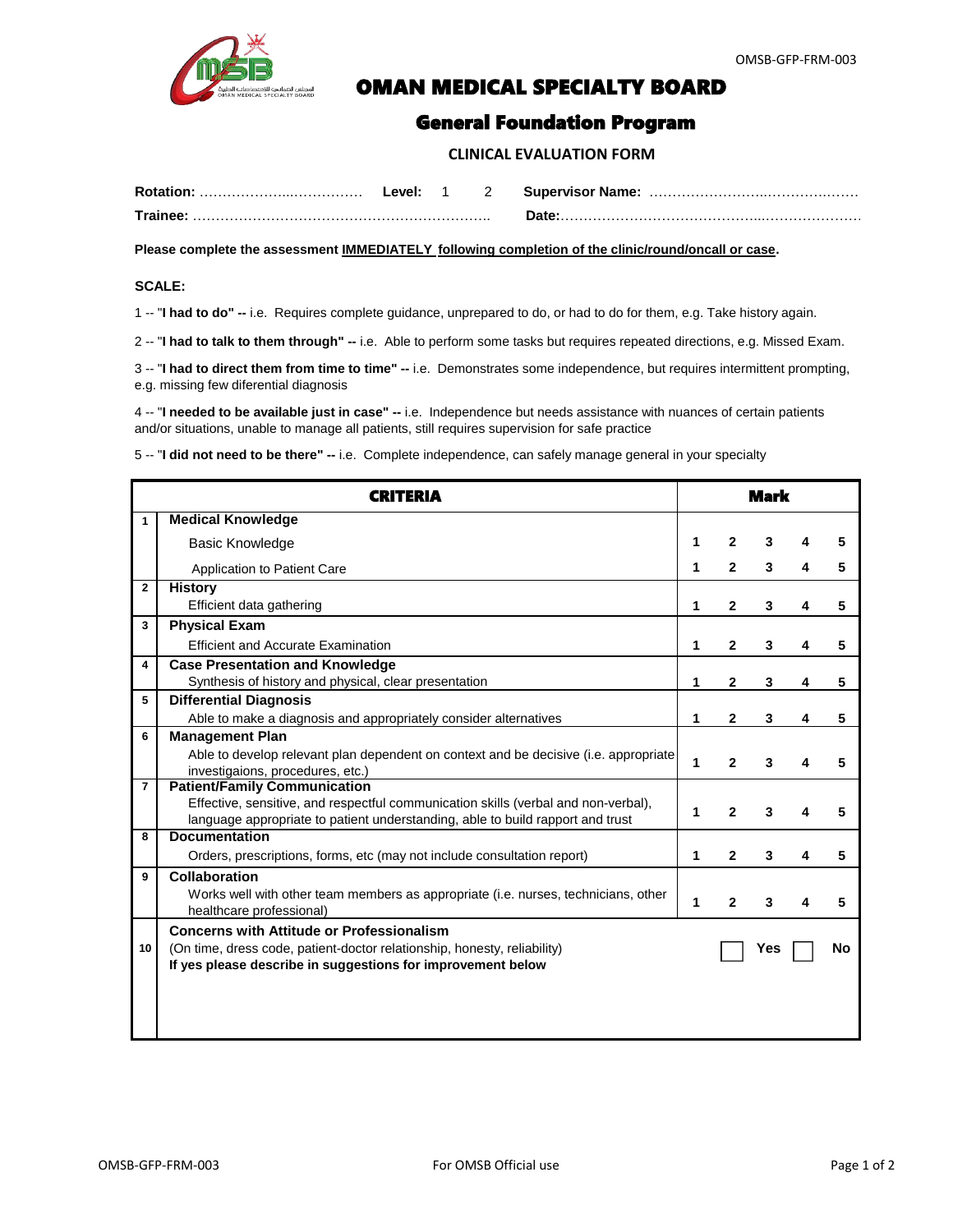

## **COMAN MEDICAL SPECIALTY BOARD**

## General Foundation Program

 **CLINICAL EVALUATION FORM**

| <b>Rotation:</b>     | _evel: |  | <b>Supervisor Name:</b> |
|----------------------|--------|--|-------------------------|
| Trainee <sup>.</sup> |        |  |                         |

**Please complete the assessment IMMEDIATELY following completion of the clinic/round/oncall or case.**

## **SCALE:**

1 -- "**I had to do" --** i.e. Requires complete guidance, unprepared to do, or had to do for them, e.g. Take history again.

2 -- "**I had to talk to them through" --** i.e. Able to perform some tasks but requires repeated directions, e.g. Missed Exam.

3 -- "**I had to direct them from time to time" --** i.e. Demonstrates some independence, but requires intermittent prompting, e.g. missing few diferential diagnosis

4 -- "**I needed to be available just in case" --** i.e. Independence but needs assistance with nuances of certain patients and/or situations, unable to manage all patients, still requires supervision for safe practice

5 -- "**I did not need to be there" --** i.e. Complete independence, can safely manage general in your specialty

| <b>CRITERIA</b> |                                                                                                                                                                                                             | <b>Mark</b> |                |     |   |    |  |
|-----------------|-------------------------------------------------------------------------------------------------------------------------------------------------------------------------------------------------------------|-------------|----------------|-----|---|----|--|
| $\mathbf{1}$    | <b>Medical Knowledge</b>                                                                                                                                                                                    |             |                |     |   |    |  |
|                 | <b>Basic Knowledge</b>                                                                                                                                                                                      |             | $\mathbf{2}$   | 3   |   |    |  |
|                 | Application to Patient Care                                                                                                                                                                                 | 1           | $\overline{2}$ | 3   |   | 5  |  |
| $\mathbf{2}$    | <b>History</b><br>Efficient data gathering                                                                                                                                                                  | 1           | 2              | 3   | 4 | 5  |  |
| 3               | <b>Physical Exam</b>                                                                                                                                                                                        |             |                |     |   |    |  |
|                 | <b>Efficient and Accurate Examination</b>                                                                                                                                                                   | 1           | $\mathbf{2}$   | 3   | 4 | 5  |  |
| 4               | <b>Case Presentation and Knowledge</b><br>Synthesis of history and physical, clear presentation                                                                                                             | 1           | 2              | 3   |   | 5  |  |
| 5               | <b>Differential Diagnosis</b>                                                                                                                                                                               |             |                |     |   |    |  |
|                 | Able to make a diagnosis and appropriately consider alternatives                                                                                                                                            | 1           | $\mathbf{2}$   | 3   |   | 5  |  |
| 6               | <b>Management Plan</b>                                                                                                                                                                                      |             |                |     |   |    |  |
|                 | Able to develop relevant plan dependent on context and be decisive (i.e. appropriate<br>investigaions, procedures, etc.)                                                                                    | 1           | 2              | 3   |   |    |  |
| $\overline{7}$  | <b>Patient/Family Communication</b><br>Effective, sensitive, and respectful communication skills (verbal and non-verbal),<br>language appropriate to patient understanding, able to build rapport and trust | 1           | $\mathbf{2}$   | 3   |   | 5  |  |
| 8               | <b>Documentation</b>                                                                                                                                                                                        |             |                |     |   |    |  |
|                 | Orders, prescriptions, forms, etc (may not include consultation report)                                                                                                                                     | 1           | $\mathbf{2}$   | 3   |   | 5  |  |
| 9               | <b>Collaboration</b><br>Works well with other team members as appropriate (i.e. nurses, technicians, other<br>healthcare professional)                                                                      |             | $\mathbf{2}$   | 3   |   |    |  |
| 10              | <b>Concerns with Attitude or Professionalism</b><br>(On time, dress code, patient-doctor relationship, honesty, reliability)<br>If yes please describe in suggestions for improvement below                 |             |                | Yes |   | No |  |
|                 |                                                                                                                                                                                                             |             |                |     |   |    |  |